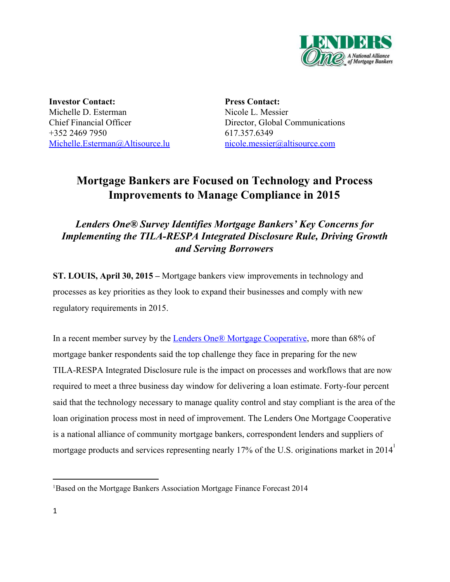

**Investor Contact:** Michelle D. Esterman Chief Financial Officer +352 2469 7950 [Michelle.Esterman@Altisource.lu](mailto:Michelle.Esterman@Altisource.lu) **Press Contact:** Nicole L. Messier Director, Global Communications 617.357.6349 [nicole.messier@altisource.com](mailto:kkovalak@lendersone.com)

# **Mortgage Bankers are Focused on Technology and Process Improvements to Manage Compliance in 2015**

# *Lenders One®Survey Identifies Mortgage Bankers' Key Concerns for Implementing the TILA-RESPA Integrated Disclosure Rule, Driving Growth and Serving Borrowers*

**ST. LOUIS, April 30, 2015 –** Mortgage bankers view improvements in technology and processes as key priorities as they look to expand their businesses and comply with new regulatory requirements in 2015.

In a recent member survey by the **Lenders One® Mortgage Cooperative**, more than 68% of mortgage banker respondents said the top challenge they face in preparing for the new TILA-RESPA Integrated Disclosure rule is the impact on processes and workflows that are now required to meet a three business day window for delivering a loan estimate. Forty-four percent said that the technology necessary to manage quality control and stay compliant is the area of the loan origination process most in need of improvement. The Lenders One Mortgage Cooperative is a national alliance of community mortgage bankers, correspondent lenders and suppliers of mortgage products and services representing nearly 17% of the U.S. originations market in 2014

<sup>1</sup>Based on the Mortgage Bankers Association Mortgage Finance Forecast 2014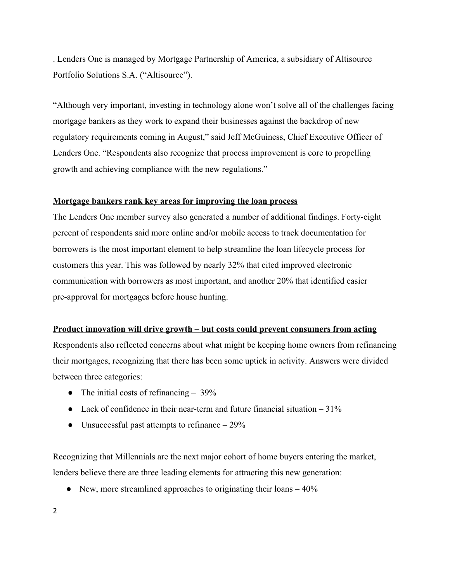. Lenders One is managed by Mortgage Partnership of America, a subsidiary of Altisource Portfolio Solutions S.A. ("Altisource").

"Although very important, investing in technology alone won't solve all of the challenges facing mortgage bankers as they work to expand their businesses against the backdrop of new regulatory requirements coming in August," said Jeff McGuiness, Chief Executive Officer of Lenders One. "Respondents also recognize that process improvement is core to propelling growth and achieving compliance with the new regulations."

#### **Mortgage bankers rank key areas for improving the loan process**

The Lenders One member survey also generated a number of additional findings. Forty-eight percent of respondents said more online and/or mobile access to track documentation for borrowers is the most important element to help streamline the loan lifecycle process for customers this year. This was followed by nearly 32% that cited improved electronic communication with borrowers as most important, and another 20% that identified easier pre-approval for mortgages before house hunting.

#### **Product innovation will drive growth – but costs could prevent consumers from acting**

Respondents also reflected concerns about what might be keeping home owners from refinancing their mortgages, recognizing that there has been some uptick in activity. Answers were divided between three categories:

- The initial costs of refinancing 39%
- Lack of confidence in their near-term and future financial situation  $-31\%$
- **●** Unsuccessful past attempts to refinance 29%

Recognizing that Millennials are the next major cohort of home buyers entering the market, lenders believe there are three leading elements for attracting this new generation:

• New, more streamlined approaches to originating their loans  $-40\%$